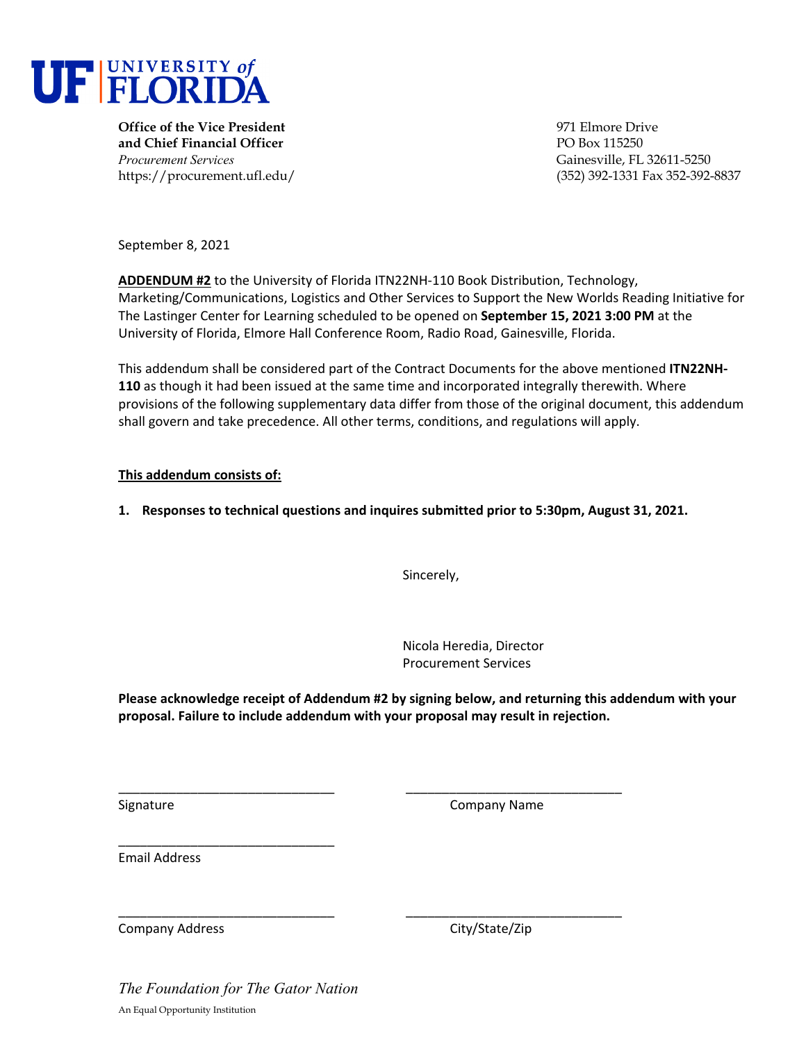

**Office of the Vice President** 971 Elmore Drive **and Chief Financial Officer** PO Box 115250 *Procurement Services* Gainesville, FL 32611-5250

https://procurement.ufl.edu/ (352) 392-1331 Fax 352-392-8837

September 8, 2021

**ADDENDUM #2** to the University of Florida ITN22NH‐110 Book Distribution, Technology, Marketing/Communications, Logistics and Other Services to Support the New Worlds Reading Initiative for The Lastinger Center for Learning scheduled to be opened on **September 15, 2021 3:00 PM** at the University of Florida, Elmore Hall Conference Room, Radio Road, Gainesville, Florida.

This addendum shall be considered part of the Contract Documents for the above mentioned **ITN22NH‐ 110** as though it had been issued at the same time and incorporated integrally therewith. Where provisions of the following supplementary data differ from those of the original document, this addendum shall govern and take precedence. All other terms, conditions, and regulations will apply.

#### **This addendum consists of:**

**1. Responses to technical questions and inquires submitted prior to 5:30pm, August 31, 2021.**

Sincerely,

Nicola Heredia, Director Procurement Services

**Please acknowledge receipt of Addendum #2 by signing below, and returning this addendum with your proposal. Failure to include addendum with your proposal may result in rejection.**

\_\_\_\_\_\_\_\_\_\_\_\_\_\_\_\_\_\_\_\_\_\_\_\_\_\_\_\_\_\_ \_\_\_\_\_\_\_\_\_\_\_\_\_\_\_\_\_\_\_\_\_\_\_\_\_\_\_\_\_\_

\_\_\_\_\_\_\_\_\_\_\_\_\_\_\_\_\_\_\_\_\_\_\_\_\_\_\_\_\_\_ \_\_\_\_\_\_\_\_\_\_\_\_\_\_\_\_\_\_\_\_\_\_\_\_\_\_\_\_\_\_

Signature **Company Name** Company Name **Company Name** 

Email Address

Company Address Company Address City/State/Zip

*The Foundation for The Gator Nation*  An Equal Opportunity Institution

\_\_\_\_\_\_\_\_\_\_\_\_\_\_\_\_\_\_\_\_\_\_\_\_\_\_\_\_\_\_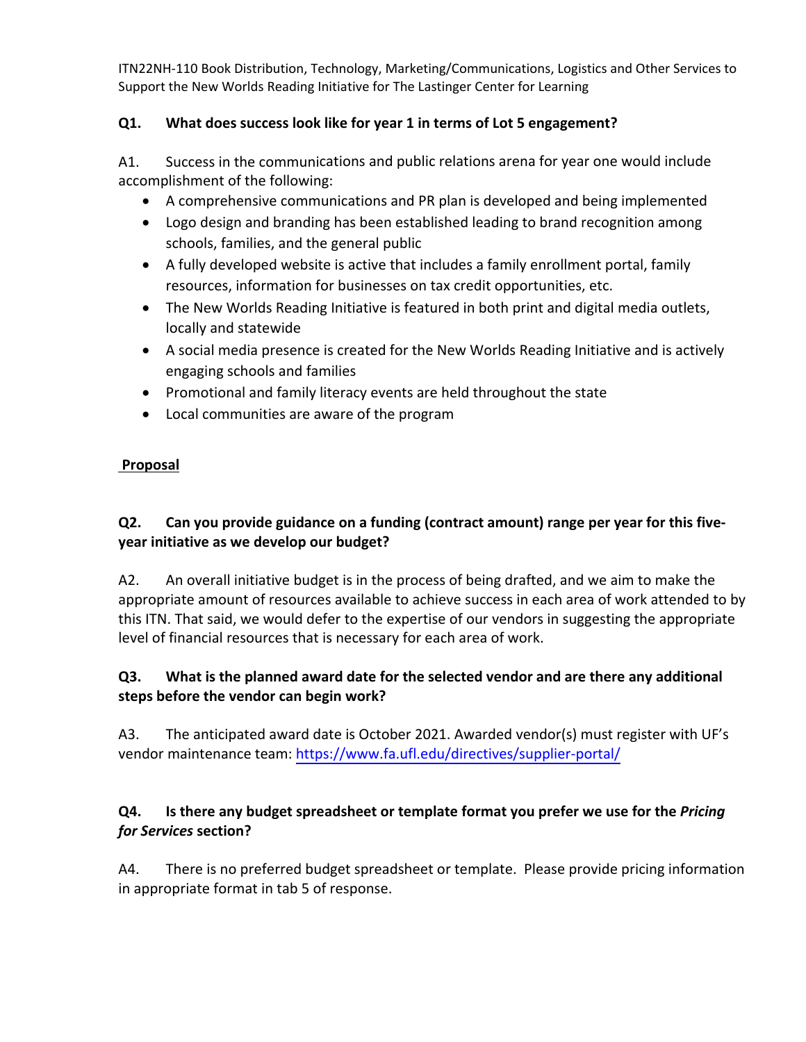# **Q1. What does success look like for year 1 in terms of Lot 5 engagement?**

A1. Success in the communications and public relations arena for year one would include accomplishment of the following:

- A comprehensive communications and PR plan is developed and being implemented
- Logo design and branding has been established leading to brand recognition among schools, families, and the general public
- A fully developed website is active that includes a family enrollment portal, family resources, information for businesses on tax credit opportunities, etc.
- The New Worlds Reading Initiative is featured in both print and digital media outlets, locally and statewide
- A social media presence is created for the New Worlds Reading Initiative and is actively engaging schools and families
- Promotional and family literacy events are held throughout the state
- Local communities are aware of the program

#### **Proposal**

# **Q2. Can you provide guidance on a funding (contract amount) range per year for this five‐ year initiative as we develop our budget?**

A2. An overall initiative budget is in the process of being drafted, and we aim to make the appropriate amount of resources available to achieve success in each area of work attended to by this ITN. That said, we would defer to the expertise of our vendors in suggesting the appropriate level of financial resources that is necessary for each area of work.

# **Q3. What is the planned award date for the selected vendor and are there any additional steps before the vendor can begin work?**

A3. The anticipated award date is October 2021. Awarded vendor(s) must register with UF's vendor maintenance team: [https://www.fa.ufl.edu/directives/supplier](https://www.fa.ufl.edu/directives/supplier-portal/)‐portal/

### **Q4. Is there any budget spreadsheet or template format you prefer we use for the** *Pricing for Services* **section?**

A4. There is no preferred budget spreadsheet or template. Please provide pricing information in appropriate format in tab 5 of response.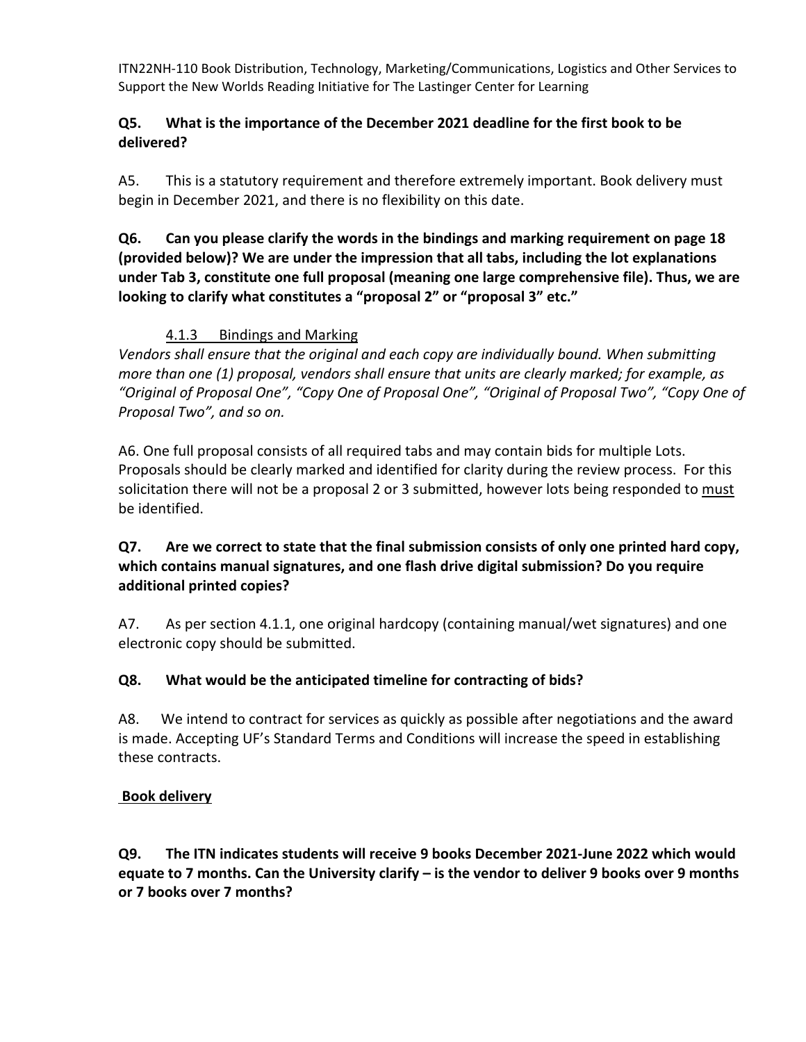### **Q5. What is the importance of the December 2021 deadline for the first book to be delivered?**

A5. This is a statutory requirement and therefore extremely important. Book delivery must begin in December 2021, and there is no flexibility on this date.

**Q6. Can you please clarify the words in the bindings and marking requirement on page 18 (provided below)? We are under the impression that all tabs, including the lot explanations under Tab 3, constitute one full proposal (meaning one large comprehensive file). Thus, we are looking to clarify what constitutes a "proposal 2" or "proposal 3" etc."** 

# 4.1.3 Bindings and Marking

*Vendors shall ensure that the original and each copy are individually bound. When submitting more than one (1) proposal, vendors shall ensure that units are clearly marked; for example, as "Original of Proposal One", "Copy One of Proposal One", "Original of Proposal Two", "Copy One of Proposal Two", and so on.* 

A6. One full proposal consists of all required tabs and may contain bids for multiple Lots. Proposals should be clearly marked and identified for clarity during the review process. For this solicitation there will not be a proposal 2 or 3 submitted, however lots being responded to must be identified.

# **Q7. Are we correct to state that the final submission consists of only one printed hard copy, which contains manual signatures, and one flash drive digital submission? Do you require additional printed copies?**

A7. As per section 4.1.1, one original hardcopy (containing manual/wet signatures) and one electronic copy should be submitted.

# **Q8. What would be the anticipated timeline for contracting of bids?**

A8. We intend to contract for services as quickly as possible after negotiations and the award is made. Accepting UF's Standard Terms and Conditions will increase the speed in establishing these contracts.

# **Book delivery**

**Q9. The ITN indicates students will receive 9 books December 2021‐June 2022 which would** equate to 7 months. Can the University clarify – is the vendor to deliver 9 books over 9 months **or 7 books over 7 months?**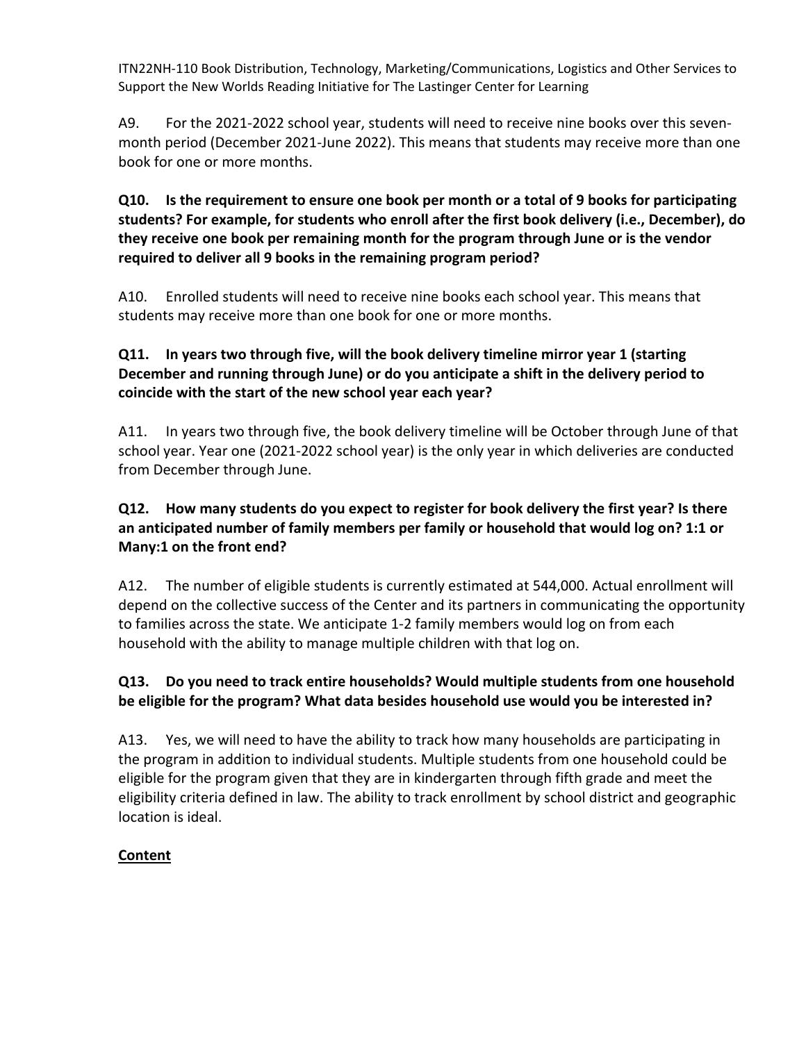A9. For the 2021-2022 school year, students will need to receive nine books over this sevenmonth period (December 2021‐June 2022). This means that students may receive more than one book for one or more months.

### **Q10. Is the requirement to ensure one book per month or a total of 9 books for participating students? For example, for students who enroll after the first book delivery (i.e., December), do they receive one book per remaining month for the program through June or is the vendor required to deliver all 9 books in the remaining program period?**

A10. Enrolled students will need to receive nine books each school year. This means that students may receive more than one book for one or more months.

# **Q11. In years two through five, will the book delivery timeline mirror year 1 (starting December and running through June) or do you anticipate a shift in the delivery period to coincide with the start of the new school year each year?**

A11. In years two through five, the book delivery timeline will be October through June of that school year. Year one (2021‐2022 school year) is the only year in which deliveries are conducted from December through June.

# **Q12. How many students do you expect to register for book delivery the first year? Is there an anticipated number of family members per family or household that would log on? 1:1 or Many:1 on the front end?**

A12. The number of eligible students is currently estimated at 544,000. Actual enrollment will depend on the collective success of the Center and its partners in communicating the opportunity to families across the state. We anticipate 1‐2 family members would log on from each household with the ability to manage multiple children with that log on.

# **Q13. Do you need to track entire households? Would multiple students from one household be eligible for the program? What data besides household use would you be interested in?**

A13. Yes, we will need to have the ability to track how many households are participating in the program in addition to individual students. Multiple students from one household could be eligible for the program given that they are in kindergarten through fifth grade and meet the eligibility criteria defined in law. The ability to track enrollment by school district and geographic location is ideal.

# **Content**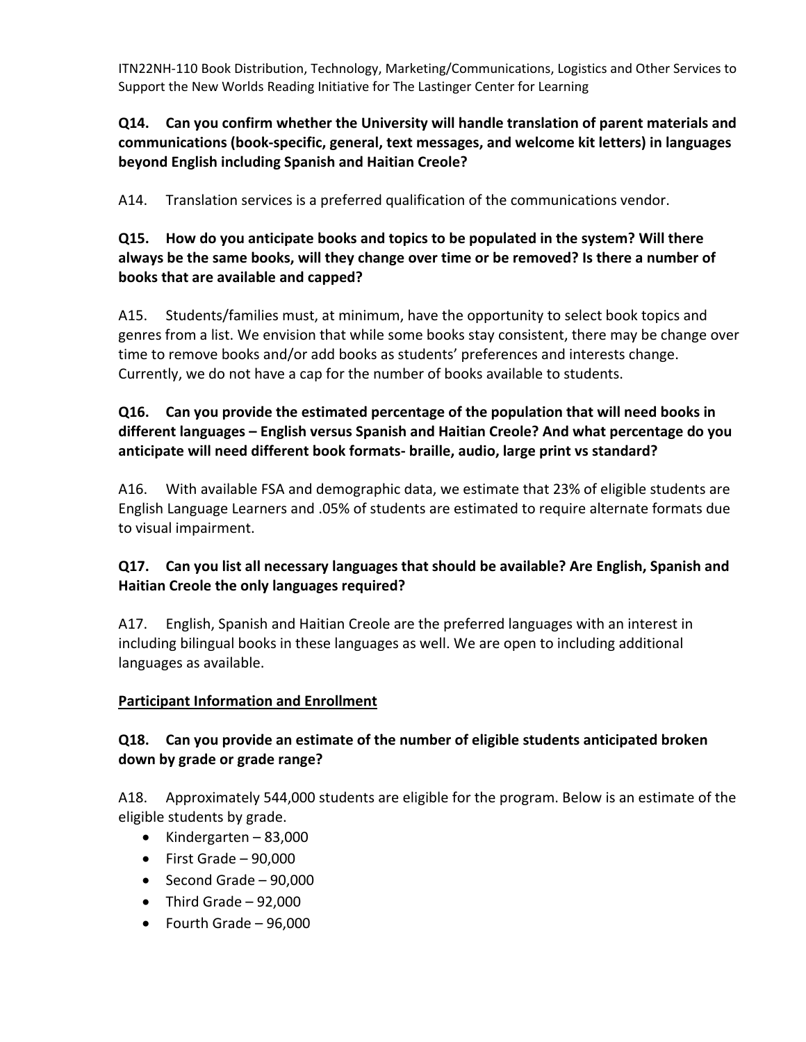### **Q14. Can you confirm whether the University will handle translation of parent materials and communications (book‐specific, general, text messages, and welcome kit letters) in languages beyond English including Spanish and Haitian Creole?**

A14. Translation services is a preferred qualification of the communications vendor.

### **Q15. How do you anticipate books and topics to be populated in the system? Will there always be the same books, will they change over time or be removed? Is there a number of books that are available and capped?**

A15. Students/families must, at minimum, have the opportunity to select book topics and genres from a list. We envision that while some books stay consistent, there may be change over time to remove books and/or add books as students' preferences and interests change. Currently, we do not have a cap for the number of books available to students.

# **Q16. Can you provide the estimated percentage of the population that will need books in different languages – English versus Spanish and Haitian Creole? And what percentage do you anticipate will need different book formats‐ braille, audio, large print vs standard?**

A16. With available FSA and demographic data, we estimate that 23% of eligible students are English Language Learners and .05% of students are estimated to require alternate formats due to visual impairment.

# **Q17. Can you list all necessary languages that should be available? Are English, Spanish and Haitian Creole the only languages required?**

A17. English, Spanish and Haitian Creole are the preferred languages with an interest in including bilingual books in these languages as well. We are open to including additional languages as available.

# **Participant Information and Enrollment**

### **Q18. Can you provide an estimate of the number of eligible students anticipated broken down by grade or grade range?**

A18. Approximately 544,000 students are eligible for the program. Below is an estimate of the eligible students by grade.

- $\bullet$  Kindergarten 83,000
- $\bullet$  First Grade 90,000
- $\bullet$  Second Grade 90,000
- $\bullet$  Third Grade 92,000
- Fourth Grade 96,000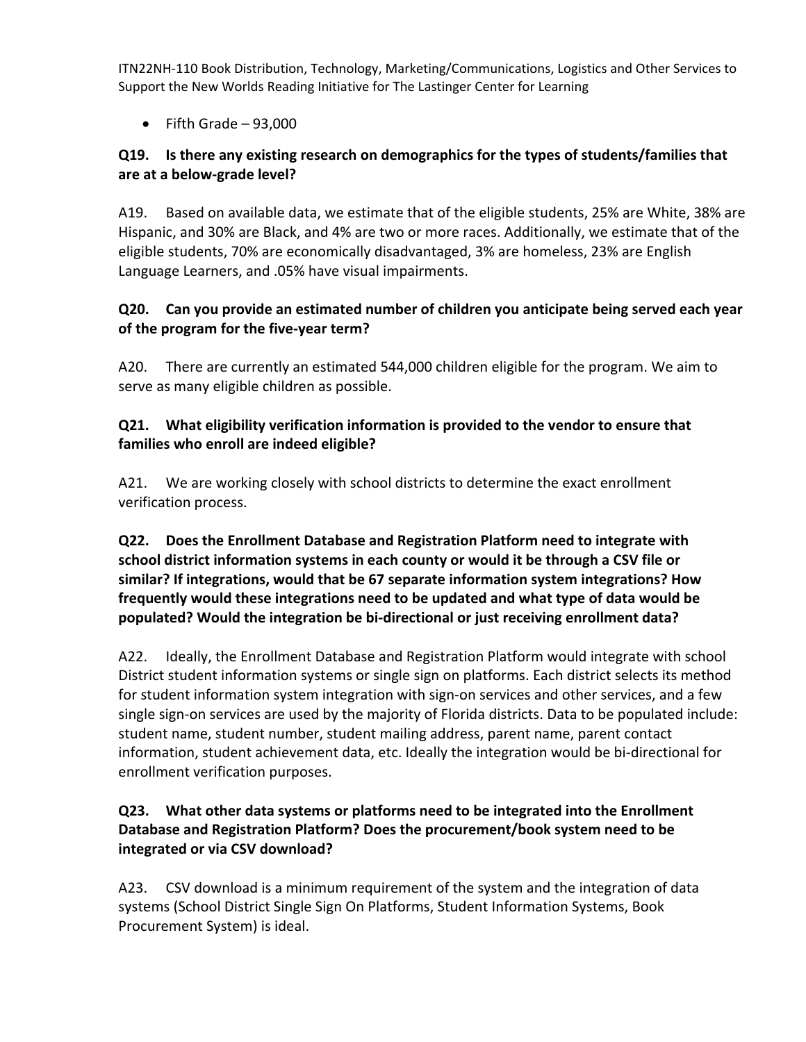$\bullet$  Fifth Grade – 93,000

### **Q19. Is there any existing research on demographics for the types of students/families that are at a below‐grade level?**

A19. Based on available data, we estimate that of the eligible students, 25% are White, 38% are Hispanic, and 30% are Black, and 4% are two or more races. Additionally, we estimate that of the eligible students, 70% are economically disadvantaged, 3% are homeless, 23% are English Language Learners, and .05% have visual impairments.

### **Q20. Can you provide an estimated number of children you anticipate being served each year of the program for the five‐year term?**

A20. There are currently an estimated 544,000 children eligible for the program. We aim to serve as many eligible children as possible.

### **Q21. What eligibility verification information is provided to the vendor to ensure that families who enroll are indeed eligible?**

A21. We are working closely with school districts to determine the exact enrollment verification process.

**Q22. Does the Enrollment Database and Registration Platform need to integrate with school district information systems in each county or would it be through a CSV file or similar? If integrations, would that be 67 separate information system integrations? How frequently would these integrations need to be updated and what type of data would be populated? Would the integration be bi‐directional or just receiving enrollment data?**

A22. Ideally, the Enrollment Database and Registration Platform would integrate with school District student information systems or single sign on platforms. Each district selects its method for student information system integration with sign-on services and other services, and a few single sign-on services are used by the majority of Florida districts. Data to be populated include: student name, student number, student mailing address, parent name, parent contact information, student achievement data, etc. Ideally the integration would be bi‐directional for enrollment verification purposes.

# **Q23. What other data systems or platforms need to be integrated into the Enrollment Database and Registration Platform? Does the procurement/book system need to be integrated or via CSV download?**

A23. CSV download is a minimum requirement of the system and the integration of data systems (School District Single Sign On Platforms, Student Information Systems, Book Procurement System) is ideal.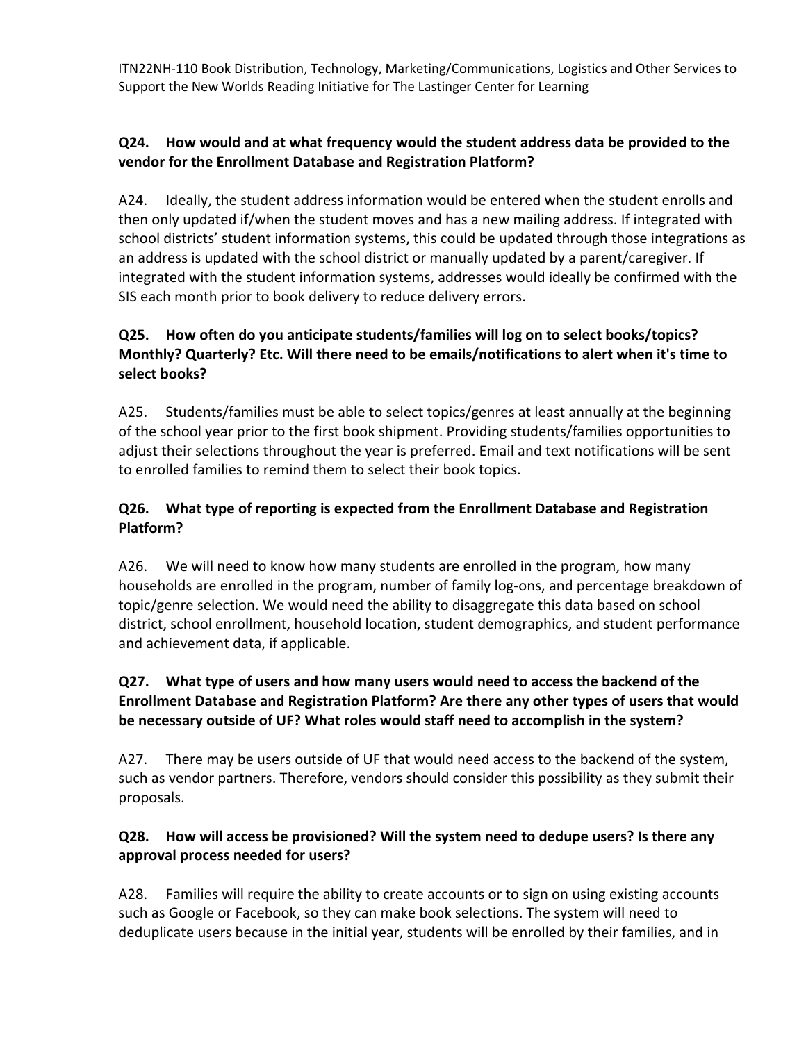# **Q24. How would and at what frequency would the student address data be provided to the vendor for the Enrollment Database and Registration Platform?**

A24. Ideally, the student address information would be entered when the student enrolls and then only updated if/when the student moves and has a new mailing address. If integrated with school districts' student information systems, this could be updated through those integrations as an address is updated with the school district or manually updated by a parent/caregiver. If integrated with the student information systems, addresses would ideally be confirmed with the SIS each month prior to book delivery to reduce delivery errors.

# **Q25. How often do you anticipate students/families will log on to select books/topics? Monthly? Quarterly? Etc. Will there need to be emails/notifications to alert when it's time to select books?**

A25. Students/families must be able to select topics/genres at least annually at the beginning of the school year prior to the first book shipment. Providing students/families opportunities to adjust their selections throughout the year is preferred. Email and text notifications will be sent to enrolled families to remind them to select their book topics.

# **Q26. What type of reporting is expected from the Enrollment Database and Registration Platform?**

A26. We will need to know how many students are enrolled in the program, how many households are enrolled in the program, number of family log-ons, and percentage breakdown of topic/genre selection. We would need the ability to disaggregate this data based on school district, school enrollment, household location, student demographics, and student performance and achievement data, if applicable.

# **Q27. What type of users and how many users would need to access the backend of the Enrollment Database and Registration Platform? Are there any other types of users that would be necessary outside of UF? What roles would staff need to accomplish in the system?**

A27. There may be users outside of UF that would need access to the backend of the system, such as vendor partners. Therefore, vendors should consider this possibility as they submit their proposals.

# **Q28. How will access be provisioned? Will the system need to dedupe users? Is there any approval process needed for users?**

A28. Families will require the ability to create accounts or to sign on using existing accounts such as Google or Facebook, so they can make book selections. The system will need to deduplicate users because in the initial year, students will be enrolled by their families, and in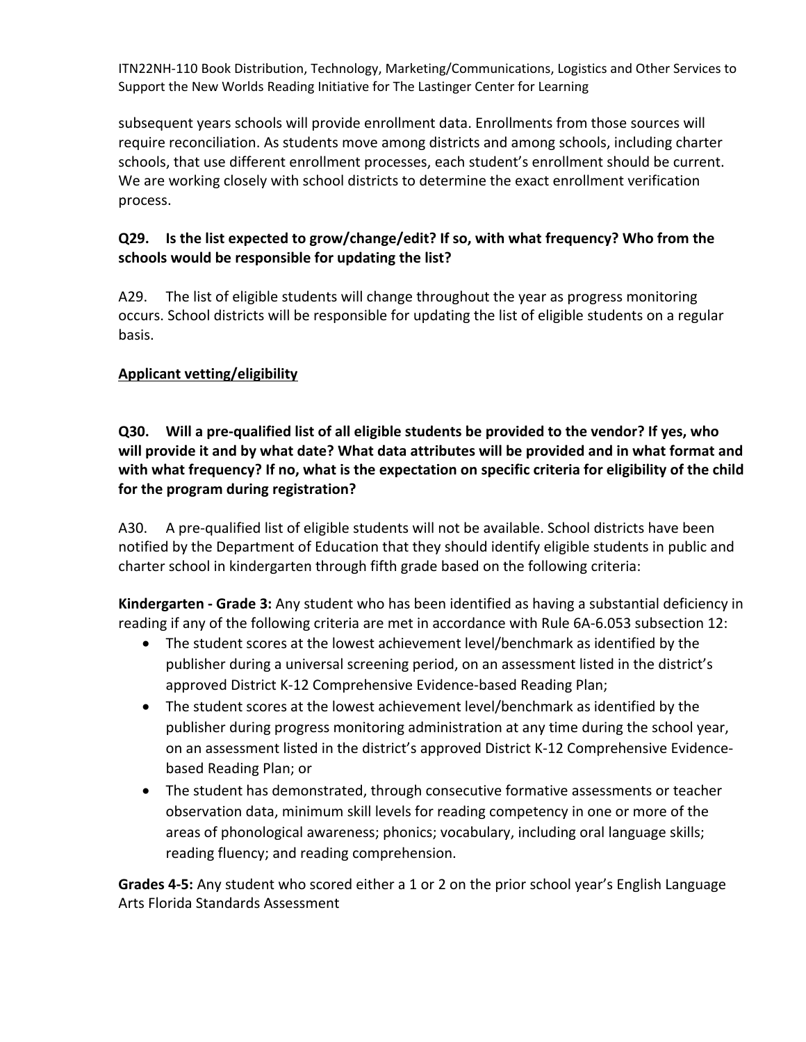subsequent years schools will provide enrollment data. Enrollments from those sources will require reconciliation. As students move among districts and among schools, including charter schools, that use different enrollment processes, each student's enrollment should be current. We are working closely with school districts to determine the exact enrollment verification process.

### **Q29. Is the list expected to grow/change/edit? If so, with what frequency? Who from the schools would be responsible for updating the list?**

A29. The list of eligible students will change throughout the year as progress monitoring occurs. School districts will be responsible for updating the list of eligible students on a regular basis.

# **Applicant vetting/eligibility**

### Q30. Will a pre-qualified list of all eligible students be provided to the vendor? If yes, who **will provide it and by what date? What data attributes will be provided and in what format and with what frequency? If no, what is the expectation on specific criteria for eligibility of the child for the program during registration?**

A30. A pre-qualified list of eligible students will not be available. School districts have been notified by the Department of Education that they should identify eligible students in public and charter school in kindergarten through fifth grade based on the following criteria:

**Kindergarten ‐ Grade 3:** Any student who has been identified as having a substantial deficiency in reading if any of the following criteria are met in accordance with Rule 6A‐6.053 subsection 12:

- The student scores at the lowest achievement level/benchmark as identified by the publisher during a universal screening period, on an assessment listed in the district's approved District K‐12 Comprehensive Evidence‐based Reading Plan;
- The student scores at the lowest achievement level/benchmark as identified by the publisher during progress monitoring administration at any time during the school year, on an assessment listed in the district's approved District K‐12 Comprehensive Evidence‐ based Reading Plan; or
- The student has demonstrated, through consecutive formative assessments or teacher observation data, minimum skill levels for reading competency in one or more of the areas of phonological awareness; phonics; vocabulary, including oral language skills; reading fluency; and reading comprehension.

**Grades 4‐5:** Any student who scored either a 1 or 2 on the prior school year's English Language Arts Florida Standards Assessment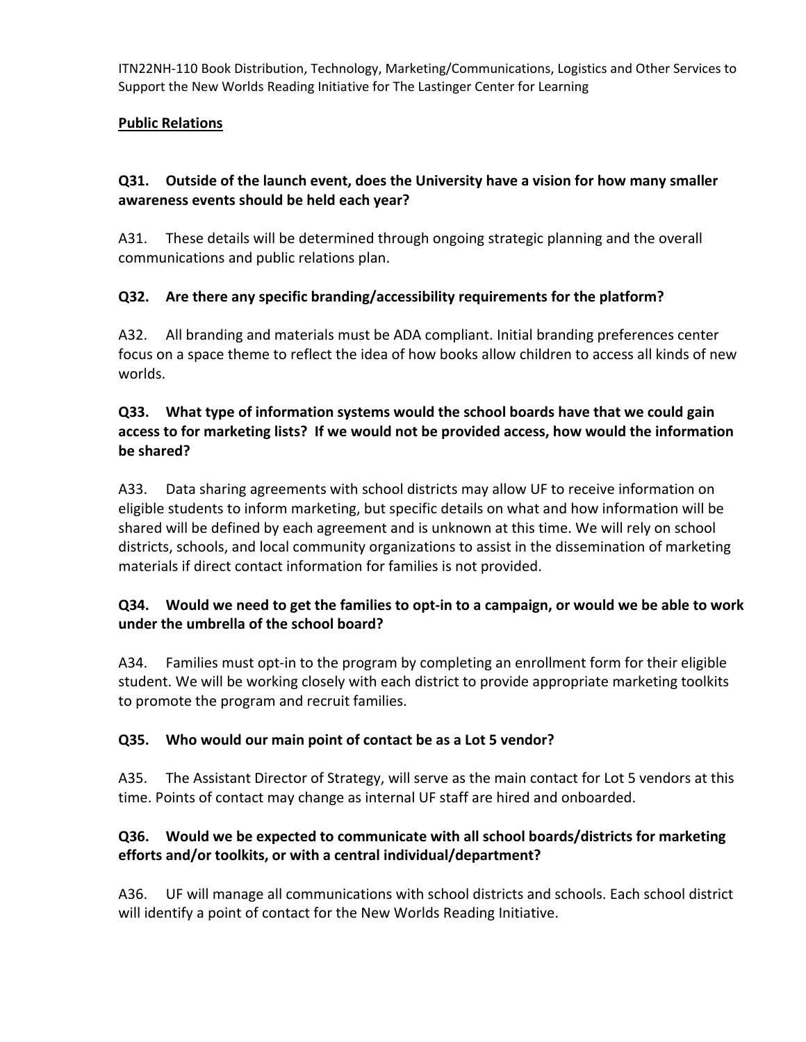#### **Public Relations**

### **Q31. Outside of the launch event, does the University have a vision for how many smaller awareness events should be held each year?**

A31. These details will be determined through ongoing strategic planning and the overall communications and public relations plan.

### **Q32. Are there any specific branding/accessibility requirements for the platform?**

A32. All branding and materials must be ADA compliant. Initial branding preferences center focus on a space theme to reflect the idea of how books allow children to access all kinds of new worlds.

#### **Q33. What type of information systems would the school boards have that we could gain access to for marketing lists? If we would not be provided access, how would the information be shared?**

A33. Data sharing agreements with school districts may allow UF to receive information on eligible students to inform marketing, but specific details on what and how information will be shared will be defined by each agreement and is unknown at this time. We will rely on school districts, schools, and local community organizations to assist in the dissemination of marketing materials if direct contact information for families is not provided.

### Q34. Would we need to get the families to opt-in to a campaign, or would we be able to work **under the umbrella of the school board?**

A34. Families must opt-in to the program by completing an enrollment form for their eligible student. We will be working closely with each district to provide appropriate marketing toolkits to promote the program and recruit families.

#### **Q35. Who would our main point of contact be as a Lot 5 vendor?**

A35. The Assistant Director of Strategy, will serve as the main contact for Lot 5 vendors at this time. Points of contact may change as internal UF staff are hired and onboarded.

### **Q36. Would we be expected to communicate with all school boards/districts for marketing efforts and/or toolkits, or with a central individual/department?**

A36. UF will manage all communications with school districts and schools. Each school district will identify a point of contact for the New Worlds Reading Initiative.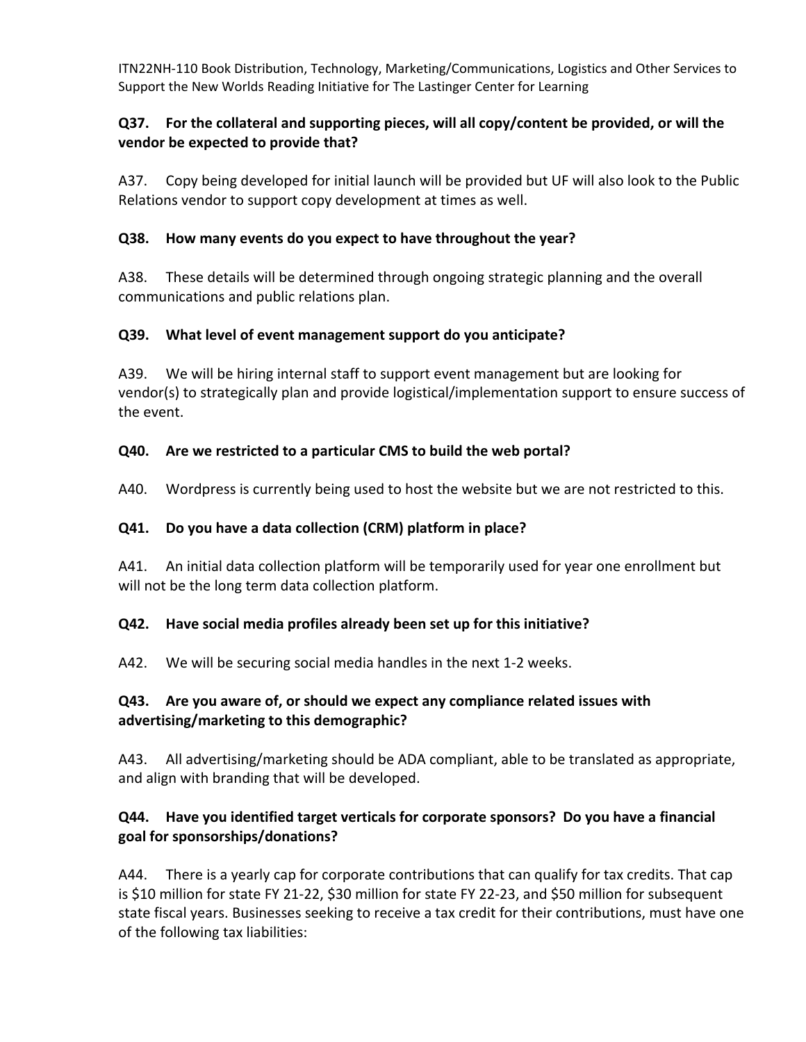### **Q37. For the collateral and supporting pieces, will all copy/content be provided, or will the vendor be expected to provide that?**

A37. Copy being developed for initial launch will be provided but UF will also look to the Public Relations vendor to support copy development at times as well.

### **Q38. How many events do you expect to have throughout the year?**

A38. These details will be determined through ongoing strategic planning and the overall communications and public relations plan.

### **Q39. What level of event management support do you anticipate?**

A39. We will be hiring internal staff to support event management but are looking for vendor(s) to strategically plan and provide logistical/implementation support to ensure success of the event.

### **Q40. Are we restricted to a particular CMS to build the web portal?**

A40. Wordpress is currently being used to host the website but we are not restricted to this.

#### **Q41. Do you have a data collection (CRM) platform in place?**

A41. An initial data collection platform will be temporarily used for year one enrollment but will not be the long term data collection platform.

#### **Q42. Have social media profiles already been set up for this initiative?**

A42. We will be securing social media handles in the next 1‐2 weeks.

### **Q43. Are you aware of, or should we expect any compliance related issues with advertising/marketing to this demographic?**

A43. All advertising/marketing should be ADA compliant, able to be translated as appropriate, and align with branding that will be developed.

# **Q44. Have you identified target verticals for corporate sponsors? Do you have a financial goal for sponsorships/donations?**

A44. There is a yearly cap for corporate contributions that can qualify for tax credits. That cap is \$10 million for state FY 21‐22, \$30 million for state FY 22‐23, and \$50 million for subsequent state fiscal years. Businesses seeking to receive a tax credit for their contributions, must have one of the following tax liabilities: